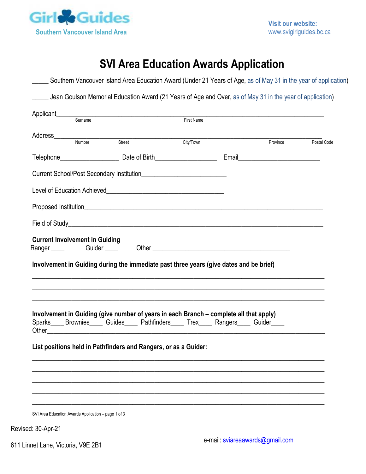

# **SVI Area Education Awards Application**

| Sumame                                                                                                                                                                            | <b>First Name</b> |          |             |
|-----------------------------------------------------------------------------------------------------------------------------------------------------------------------------------|-------------------|----------|-------------|
|                                                                                                                                                                                   |                   |          |             |
|                                                                                                                                                                                   |                   | Province | Postal Code |
|                                                                                                                                                                                   |                   |          |             |
|                                                                                                                                                                                   |                   |          |             |
|                                                                                                                                                                                   |                   |          |             |
|                                                                                                                                                                                   |                   |          |             |
|                                                                                                                                                                                   |                   |          |             |
|                                                                                                                                                                                   |                   |          |             |
|                                                                                                                                                                                   |                   |          |             |
|                                                                                                                                                                                   |                   |          |             |
| <b>Current Involvement in Guiding</b><br>Ranger Guider Cuider Cher Communication Chert<br>Involvement in Guiding during the immediate past three years (give dates and be brief)  |                   |          |             |
|                                                                                                                                                                                   |                   |          |             |
| Involvement in Guiding (give number of years in each Branch - complete all that apply)<br>Sparks____ Brownies_____ Guides_____ Pathfinders_____ Trex_____ Rangers_____ Guider____ |                   |          |             |
|                                                                                                                                                                                   |                   |          |             |
| List positions held in Pathfinders and Rangers, or as a Guider:                                                                                                                   |                   |          |             |
|                                                                                                                                                                                   |                   |          |             |

Revised: 30-Apr-21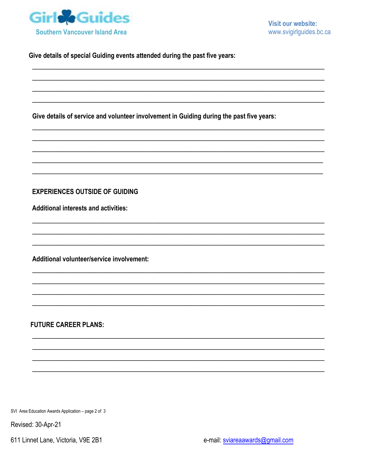

Give details of special Guiding events attended during the past five years:

Give details of service and volunteer involvement in Guiding during the past five years:

### **EXPERIENCES OUTSIDE OF GUIDING**

**Additional interests and activities:** 

Additional volunteer/service involvement:

## **FUTURE CAREER PLANS:**

SVI Area Education Awards Application - page 2 of 3

Revised: 30-Apr-21

611 Linnet Lane, Victoria, V9E 2B1